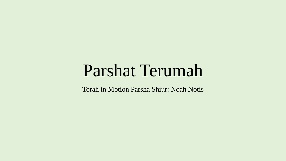# Parshat Terumah

Torah in Motion Parsha Shiur: Noah Notis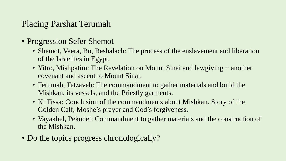# Placing Parshat Terumah

- Progression Sefer Shemot
	- Shemot, Vaera, Bo, Beshalach: The process of the enslavement and liberation of the Israelites in Egypt.
	- Yitro, Mishpatim: The Revelation on Mount Sinai and lawgiving + another covenant and ascent to Mount Sinai.
	- Terumah, Tetzaveh: The commandment to gather materials and build the Mishkan, its vessels, and the Priestly garments.
	- Ki Tissa: Conclusion of the commandments about Mishkan. Story of the Golden Calf, Moshe's prayer and God's forgiveness.
	- Vayakhel, Pekudei: Commandment to gather materials and the construction of the Mishkan.
- Do the topics progress chronologically?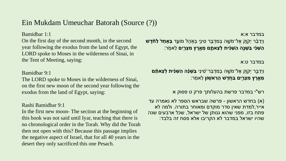# Ein Mukdam Umeuchar Batorah (Source (?))

Bamidbar 1:1

On the first day of the second month, in the second year following the exodus from the land of Egypt, the LORD spoke to Moses in the wilderness of Sinai, in the Tent of Meeting, saying:

### Bamidbar 9:1

The LORD spoke to Moses in the wilderness of Sinai, on the first new moon of the second year following the exodus from the land of Egypt, saying:

#### Rashi Bamidbar 9:1

In the first new moon- The section at the beginning of this book was not said until Iyar, teaching that there is no chronological order in the Torah. Why did the Torah then not open with this? Because this passage implies the negative aspect of Israel, that for all 40 years in the desert they only sacrificed this one Pesach.

במדבר א:א וַיְדַ ב ֵּ֨ ר יְקֹו ָ֧ק אֶ ל־מֹשֶֶׁ֛ ה בְ מִ דְ בַַּ֥ר סִ ינַַ֖י בְ אֹֹ֣ הֶ ל מֹוע ֵ֑ד **בְּ אֶ חָ ד֩ לַ ח ֹ֨ דֶ ׁש**  ָ**ֿהַשֵּׁנִי בַּשָּׁנֵה הַשֵּׁנִית לְּצֵאתֶם מֵאֶרֶץ מִצְרֵיִם** לֵאמְׂר:

#### במדבר ט:א

ֿוַיְדַבֵּר יְקֹוֶק אֶל־מֹשֶׁה בְמִדְבַּר־סִינַי **בַּשָׁנָה הַשֵּׁנִית לְצֵאתָם ְמֵאֶרֶץ מִצְרֵיִם בַּחָדֶשׁ הָרִאשָׁוֹן** לֵאמְׂר:

רש"י במדבר פרשת בהעלותך פרק ט פסוק א

)א( בחדש הראשון - פרשה שבראש הספר לא נאמרה עד אייר,למדת שאין סדר מוקדם ומאוחר בתורה. ולמה לא פתח בזו, מפני שהוא גנותן של ישראל, שכל ארבעים שנה שהיו ישראל במדבר לא הקריבו אלא פסח זה בלבד: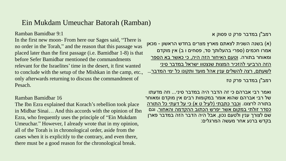## Ein Mukdam Umeuchar Batorah (Ramban)

Ramban Bamidbar 9:1

In the first new moon- From here our Sages said, "There is no order in the Torah," and the reason that this passage was placed later than the first passage (i.e. Bamidbar 1-8) is that before Sefer Bamidbar mentioned the commandments relevant for the Israelites' time in the desert, it first wanted to conclude with the setup of the Mishkan in the camp, etc., only afterwards returning to discuss the commandment of Pesach.

### Ramban Bamidbar 16

The Ibn Ezra explained that Korach's rebellion took place in Midbar Sinai… And this accords with the opinion of Ibn Ezra, who frequently uses the principle of "Ein Mukdam Umeuchar." However, I already wrote that in my opinion, all of the Torah is in chronological order, aside from the cases when it is explicitly to the contrary, and even there, there must be a good reason for the chronological break.

רמב"ן במדבר פרק ט פסוק א

)א( בשנה השנית לצאתם מארץ מצרים בחדש הראשון - מכאן אמרו חכמים (ספרי בהעלותך סד, פסחים ו ב) אין מוקדם ומאוחר בתורה. וטעם האיחור הזה היה, כי כאשר בא הספר הזה הרביעי להזכיר המצות שנצטוו ישראל במדבר סיני <u>לשעתם, רצה להשלים ענין אהל מועד ותקונו כל ימי המדבר...</u> רמב"ן במדבר פרק טז

ואמר רבי אברהם כי זה הדבר היה במדבר סיני... וזה מדעתו של רבי אברהם שהוא אומר במקומות רבים אין מוקדם ומאוחר <u>בתורה לרצונו. וכבר כתבתי (לעיל ט א) כי על דעתי כל התורה</u> כסדר זולתי במקום אשר יפרש הכתוב ההקדמה והאחור, וגם שם לצורך ענין ולטעם נכון, אבל היה הדבר הזה במדבר פארן בקדש ברנע אחר מעשה המרגלים: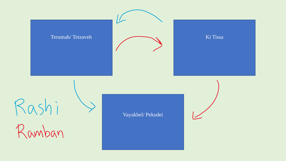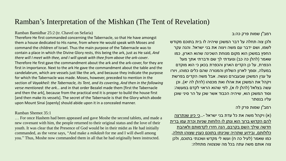# Ramban's Interpretation of the Mishkan (The Tent of Revelation)

Ramban Bamidbar 25:2 (tr. Chavel on Sefaria)

Therefore He first commanded concerning the Tabernacle, so that He have amongst them a house dedicated to His name, from where He would speak with Moses and command the children of Israel. Thus the main purpose of the Tabernacle was to contain a place in which the Divine Glory rests, this being the ark, just as He said, *And there will I meet with thee, and I will speak with thee from above the ark-cover*. Therefore He first gave the commandment about the ark and the ark-cover, for they are first in importance. Next to the ark He gave the commandment about the table and the candelabrum, which are vessels just like the ark, and because they indicate the purpose for which the Tabernacle was made. Moses, however, preceded to mention in the section of *Vayakheil: the Tabernacle, its Tent, and its covering*, *And then in the following verse mentioned: the ark…* and in that order Bezalel made them [first the Tabernacle and then the ark], because from the practical end it is proper to build the house first [and then make its vessels]. The secret of the Tabernacle is that the Glory which abode upon Mount Sinai [openly] should abide upon it in a concealed manner.

#### Ramban Shemot 35:1

… For once Hashem had been appeased and gave Moshe the second tablets, and made a new covenant with him, the people returned to their original status and the love of their youth. It was clear that the Presence of God would be in their midst as He had initially commanded, as the verse says, "And make a *mikdash* for me and I will dwell among you." Thus, Moshe now commanded them in all that he had originally been instructed.

רמב"ן שמות פרק כה:ב

ולכן צוה תחלה על דבר המשכן שיהיה לו בית בתוכם מקודש לשמו, ושם ידבר עם משה ויצוה את בני ישראל. והנה עקר החפץ במשכן הוא מקום מנוחת השכינה שהוא הארון, כמו שאמר (להלן כה כב) ונועדתי לך שם ודברתי אתך מעל הכפרת, על כן הקדים הארון והכפרת בכאן כי הוא מוקדם במעלה, וסמך לארון השלחן והמנורה שהם כלים כמוהו, ויורו על ענין המשכן שבעבורם נעשה. אבל משה הקדים בפרשת ויקהל את המשכן את אהלו ואת מכסהו (להלן לה יא), וכן :עשה בצלאל (להלן לו א), לפי שהוא הראוי לקדם במעשה וסוד המשכן הוא, שיהיה הכבוד אשר שכן על הר סיני שוכן עליו בנסתר

#### רמב"ן שמות פרק לה

(א) ויקהל משה את כל עדת בני ישראל -...<u>כי כיון שנתרצה</u> להם הקדוש ברוך הוא ונתן לו הלוחות שניות וכרת עמו ברית חדשה שילך השם בקרבם, הנה חזרו לקדמותם ולאהבת כלולותם, ובידוע שתהיה שכינתו בתוכם כענין שצוהו תחלה, כמו שאמר (לעיל כה ח) ועשו לי מקדש ושכנתי בתוכם, ולכן צוה אותם משה עתה בכל מה שנצטוה מתחלה: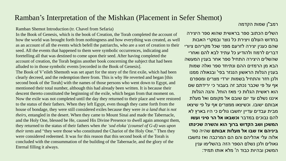# Ramban's Interpretation of the Mishkan (Placement in Sefer Shemot)

Ramban Shemot Introduction (tr. Chavel from Sefaria)

In the Book of Genesis, which is the book of Creation, the Torah completed the account of how the world was brought forth from nothingness and how everything was created, as well as an account of all the events which befell the patriarchs, who are a sort of creation to their seed. All the events that happened to them were symbolic occurrences, indicating and foretelling all that was destined to come upon their seed. After having completed the account of creation, the Torah begins another book concerning the subject that had been alluded to in those symbolic events [recorded in the Book of Genesis].

The Book of V'eileh Shemoth was set apart for the story of the first exile, which had been clearly decreed, and the redemption there from. This is why He reverted and began [this second book of the Torah] with the names of those persons who went down to Egypt, and mentioned their total number, although this had already been written. It is because their descent thereto constituted the beginning of the exile, which began from that moment on. Now the exile was not completed until the day they returned to their place and were restored to the status of their fathers. When they left Egypt, even though they came forth from the house of bondage, they were still considered exiles because they were *in a land that is not theirs*, entangled in the desert. When they came to Mount Sinai and made the Tabernacle, and the Holy One, blessed be He, caused His Divine Presence to dwell again amongst them, they returned to the status of their fathers when *the 'sod eloka' (counsel of G-d) was upon their tents* and "they were those who constituted the Chariot of the Holy One." Then they were considered redeemed. It was for this reason that this second book of the Torah is concluded with the consummation of the building of the Tabernacle, and the glory of the Eternal filling it always.

רמב"ן שמות הקדמה

השלים הכתוב ספר בראשית שהוא ספר היצירה בחדוש העולם ויצירת כל נוצר ובמקרי האבות שהם כענין יצירה לזרעם מפני שכל מקריהם ציורי דברים לרמוז ולהודיע כל עתיד לבא להם ואחרי שהשלים היצירה התחיל ספר אחר בענין המעשה הבא מן הרמזים ההם ונתיחד ספר ואלה שמות בענין הגלות הראשון הנגזר בפי' ובגאולה ממנו ולכן חזר והתחיל בשמות יורדי מצרים ומספרם אף על פי שכבר נכתב זה בעבור כי ירידתם שם הוא ראשית הגלות כי מאז הוחל. והנה הגלות איננו נשלם עד יום שובם אל מקומם ואל מעלת אבותם ישובו. וכשיצאו ממצרים אף על פי שיצאו מבית עבדים עדיין יחשבו גולים כי היו בארץ לא להם נבוכים במדבר **וכשבאו אל הר סיני ועשו המשכן ושב הקדוש ברוך הוא והשרה שכינתו ביניהם אז שבו אל מעלות אבותם** שהיה סוד אלוה עלי אהליהם והם הם המרכבה ואז נחשבו גאולים ולכן נשלם הספר הזה בהשלימו ענין המשכן ובהיות כבוד ה' מלא אותו תמיד: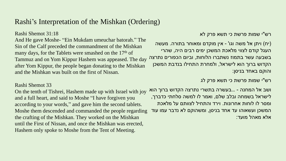# Rashi's Interpretation of the Mishkan (Ordering)

Rashi Shemot 31:18

And He gave Moshe- "Ein Mukdam umeuchar batorah." The Sin of the Calf preceded the commandment of the Mishkan many days, for the Tablets were smashed on the 17<sup>th</sup> of Tammuz and on Yom Kippur Hashem was appeased. The day after Yom Kippur, the people began donating to the Mishkan and the Mishkan was built on the first of Nissan.

### Rashi Shemot 33

On the tenth of Tishrei, Hashem made up with Israel with joy and a full heart, and said to Moshe "I have forgiven you according to your words," and gave him the second tablets. Moshe them descended and commanded the people regarding the crafting of the Mishkan. They worked on the Mishkan until the First of Nissan, and once the Mishkan was erected, Hashem only spoke to Moshe from the Tent of Meeting.

רש"י שמות פרשת כי תשא פרק לא

)יח( ויתן אל משה וגו' - אין מוקדם ומאוחר בתורה. מעשה העגל קודם לצווי מלאכת המשכן ימים רבים היה, שהרי בשבעה עשר בתמוז נשתברו הלוחות, וביום הכפורים נתרצה הקדוש ברוך הוא לישראל, ולמחרת התחילו בנדבת המשכן והוקם באחד בניסן:

רש"י שמות פרשת כי תשא פרק לג

ושב אל המחנה - ...בעשרה בתשרי נתרצה הקדוש ברוך הוא לישראל בשמחה ובלב שלם, ואמר לו למשה סלחתי כדברך, ומסר לו לוחות אחרונות. וירד והתחיל לצוותם על מלאכת המשכן ועשאוהו עד אחד בניסן, ומשהוקם לא נדבר עמו עוד אלא מאהל מועד: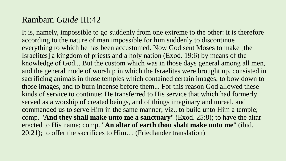# Rambam *Guide* III:42

It is, namely, impossible to go suddenly from one extreme to the other: it is therefore according to the nature of man impossible for him suddenly to discontinue everything to which he has been accustomed. Now God sent Moses to make [the Israelites] a kingdom of priests and a holy nation (Exod. 19:6) by means of the knowledge of God... But the custom which was in those days general among all men, and the general mode of worship in which the Israelites were brought up, consisted in sacrificing animals in those temples which contained certain images, to bow down to those images, and to burn incense before them... For this reason God allowed these kinds of service to continue; He transferred to His service that which had formerly served as a worship of created beings, and of things imaginary and unreal, and commanded us to serve Him in the same manner; viz., to build unto Him a temple; comp. "**And they shall make unto me a sanctuary**" (Exod. 25:8); to have the altar erected to His name; comp. "**An altar of earth thou shalt make unto me**" (ibid. 20:21); to offer the sacrifices to Him… (Friedlander translation)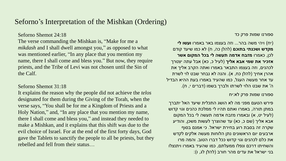# Seforno's Interpretation of the Mishkan (Ordering)

Seforno Shemot 24:18

The verse commanding the Mishkan is, "Make for me a *mikdash* and I shall dwell amongst you," as opposed to what was mentioned earlier, "In any place that you mention my name, there I shall come and bless you." But now, they require priests, and the Tribe of Levi was not chosen until the Sin of the Calf.

#### Seforno Shemot 31:18

It explains the reason why the people did not achieve the *telos*  designated for them during the Giving of the Torah, when the verse says, "You shall be for me a Kingdom of Priests and a Holy Nation," and, "In any place that you mention my name, there I shall come and bless you," and instead they needed to make a Mishkan, and it explains that this shift was due to the evil choice of Israel. For at the end of the first forty days, God gave the Tablets to sanctify the people to all be priests, but they rebelled and fell from their status…

ספורנו שמות פרק כד

)יח( ויהי משה בהר... וזה בעצמו באר באמרו **ועשו לי מקדש ושכנתי בתוכם** (להלן כה, ח) לא כמו שיעד קודם לכן, כאמרו **מזבח אדמה תעשה לי בכל המקום אשר אזכיר את שמי אבא אליך** (לעיל כ, כא) אבל עתה יצטרך לכהנים, וזה בעצמו התבאר באמרו ואתה הקרב אליך את אהרן אחיך (להלן כח, א). והנה לא נבחר שבט לוי לשרת עד אחר מעשה העגל, כמו שהעיד באמרו בעת ההיא הבדיל ה' את שבט הלוי לשרתו ולברך בשמו )דברים י, ח(.

ספורנו שמות פרק לא:יח

פירש הטעם מפני מה לא הושג התכלית שיעד האל יתברך במתן תורה, באמרו ואתם תהיו לי ממלכת כהנים וגוי קדוש (לעיל יט, א) ובאמרו מזבח אדמה תעשה לי בכל המקום אבא אליך (שם כ, כא) עד שהוצרך לעשות משכן, והודיע שקרה זה בסבת רוע בחירת ישראל. כי אמנם בסוף ארבעים יום הראשונים נתן הלוחות מעשה אלקים לקדש את כלם לכהנים וגוי קדוש ככל דברו הטוב. והמה מרו והשחיתו דרכם ונפלו ממעלתם, כמו שהעיד באמרו ויתנצלו בני ישראל את עדים מהר חורב (להלן לג, ו):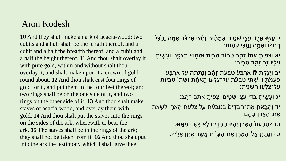# Aron Kodesh

**10** And they shall make an ark of acacia-wood: two cubits and a half shall be the length thereof, and a cubit and a half the breadth thereof, and a cubit and a half the height thereof. **11** And thou shalt overlay it with pure gold, within and without shalt thou overlay it, and shalt make upon it a crown of gold round about. **12** And thou shalt cast four rings of gold for it, and put them in the four feet thereof; and two rings shall be on the one side of it, and two rings on the other side of it. **13** And thou shalt make staves of acacia-wood, and overlay them with gold. **14** And thou shalt put the staves into the rings on the sides of the ark, wherewith to bear the ark. **15** The staves shall be in the rings of the ark; they shall not be taken from it. **16** And thou shalt put into the ark the testimony which I shall give thee.

י וְעָשָׂוּ אֲרָוֹן עֲצֵי שָׁטֵֶים אַמָּתַ**ּיִם וְחֵצִי אָרְכֹּ**וֹ וְאַמֶּה וָחֵצִי ֹרְחְבֹּוֹ וְאַמֶּה וְחֻצִי קֹמָתְוֹ:

יא וְצִפִּיתָ אֹתוֹ זָהֶב טָהוֹר מִבַּיִת וּמִחָוּץ תְּצַפֵּנּוּ וְעָשֶׂיתָ ֿעָלֵיו זֵר זָהָב סָבִיב:

יב וְיַצַּקְתָּ לּוֹ אַרְבַּעֹ טַבְּעָׂת זָהָב וְנֵתַתָּה עַל אַרְבַּע ּפַעֲמֹתֶיו וּשְׁתֵּי טַבָּעֹׁת עַל־צַלְעוֹ הָאֶחָת וּשְׁתֵּי טַבָּעֹֹת ֿעַל־צַלְעָוֹ הַשֶּׁנֵית:

יג וְעָשִׂיתָ בַדֵּי עֲצֵי שָׁטֵֵים וְצִפִּיתָ אֹתָם זָהֲב:

יד וְהֵבֶאתָ אֶת־הַבַּדִּים בַּטַבָּעֹׁת עַל צַלְעִׂת הָאָרֶן לָשֵׂאת ּאֶת־הָאָרֶׂן בָּהֱם:

ֿטו בְּטַבָּעֹת הָאָרֹׂן יִהְיוּ הַבַּדֶּים לָא יָסֻרוּ מִמֱנּוּ:

ֿטז וְנָתַתָּ אֶל־הָאָרֶן אֵת הָעֵדֶת אֲשֶׁר אֶתֶּן אֵלֶיךָ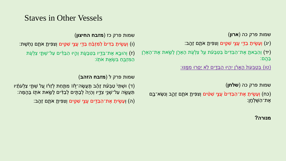# Staves in Other Vessels

שמות פרק כה )**ארון**(

(יג) וְעָשִׂיתָ בַדֵּי עֲצֵי שִׁטֵּים וְצִפִּיתָ אֹתָם זָהֶב:

יד) וְהֵבֵאתֶ אֶת־הַבַּדִּיםۢ בַּטַּבָּעֹׁת עַל צַלְעָׂת הָאָרֶן לָשֵׂאת אֶת־הָאָרָן) ב הֶֹֽ ם:

<u>ָּטְ בְּטַבְּעֹת הָאָרֹן יִהְיוּ הַבַּדֵּים לָא יָסֵרוּ מְמֵֽנּוּ:</u>

שמות פרק כה )**שלחן**(

ֹכח) וְעָשֶׂיתָ אֶת־הַבַּדִּיםׂ עֲצֵי שִׁטִּים וְצִפִּיתָ אֹתָם זַהֶב וְנִשָּׂא־בֶם) ּאֶת־הַשֶּׁלְחֶן:

### שמות פרק כז )**מזבח החיצון**(

(ו) וְעָשֶׂיתָ בַדִּים<sub>ْ</sub> לַמִּזְבֵּ֫חַ בַּדֵּי עֲצֵי שִׁטֵּים וְצִפִּיתָ אֹתָם נְחְשֶׁת:

ֿון ווּבָא אֶת־בַּדֶיו בַּטַּבָּעָׂת וְהָיוּ הַבַּדִּ֫ים עַל־שְׁתֵּ֣י צַלְעָׂת) (ז ֿהַמִּזְבֵּחַ בִּשְׂאֵת אֹתָוֹ:

### שמות פרק ל )**מזבח הזהב**(

ד) וּשְׁתֵּיْ טַבְּעْת זָהָב תַּעֲשֶׂה־לָּוֹا מִתַּחַת לְזֵרֹו עֲל שְׁתֵּי צַלְעֹתָ<del>ּ</del>יו (ד ֿתַּעֲשֶׂה עַל־שְׁנֵי צִדֶיו וְהָיָה לְבָתִּ֣ים לְבַדִּים לָשֵׂאת אֹתֻוֹ בָּהֲמָּה:

ה) וְעָשִׂיתָ אֶת־הַבַּדִּים עֲצֵי שִׁטִֵּים וְצִפִּיתָ אֹתָם זַהְב: (

### **מנורה?**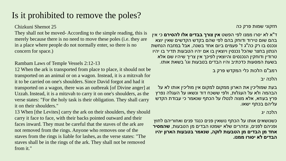# Is it prohibited to remove the poles?

Chizkuni Shemot 25

They shall not be moved- According to the simple reading, this is merely because there is no need to move these poles (i.e. they are in a place where people do not normally enter, so there is no concern for space.)

Rambam Laws of Temple Vessels 2:12-13

12 When the ark is transported from place to place, it should not be transported on an animal or on a wagon. Instead, it is a mitzvah for it to be carried on one's shoulders. Since David forgot and had it transported on a wagon, there was an outbreak [of Divine anger] at Uzzah.Instead, it is a mitzvah to carry it on one's shoulders, as the verse states: "For the holy task is their obligation. They shall carry it on their shoulders."

13 When [the Levites] carry the ark on their shoulders, they should carry it face to face, with their backs pointed outward and their faces inward. They must be careful that the staves of the ark are not removed from the rings. Anyone who removes one of the staves from the rings is liable for lashes, as the verse states: "The staves shall be in the rings of the ark. They shall not be removed from it."

חזקוני שמות פרק כה

ד"א לא יסרו ממנו לפי הפשט **אין צורך בבדים אלו להסירם** כי אין בהם שום טירוד ודוחק בהם לפי שהם בקדש הקדשים שאין יוצא ונכנס בו רק כה"ג ד' פעמים ביום אחד בשנה, אבל במזבח הנחשת הנתון בחצר שהכל נכנסין ויוצאין בו אם יהיו הטבעות תדיר בו יהיו טרודין ודוחקין הנכנסים והיוצאין לפיכך אין צריך שיהיו שם אלא בשעת המסעות כדכתיב והיו הבדים בטבעות וגו' בשאת אותו.

רמב"ם הלכות כלי המקדש פרק ב

הלכה יב

בעת שמוליכין את הארון ממקום למקום אין מוליכין אותו לא על הבהמה ולא על העגלות, ולפי ששכח דוד ונשאו על העגלה נפרץ פרץ בעוזא, אלא מצוה לנטלו על הכתף שנאמר כי עבודת הקדש עליהם בכתף ישאו.

הלכה יג

כשנושאים אותו על הכתף נושאין פנים כנגד פנים ואחוריהם לחוץ ופניהם לפנים, ונזהרים שלא ישמטו הבדים מן הטבעות, **שהמסיר אחד מן הבדים מן הטבעות לוקה, שנאמר בטבעות הארון יהיו הבדים לא יסורו ממנו.**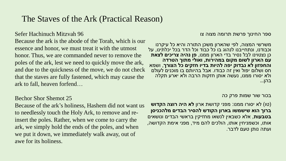# The Staves of the Ark (Practical Reason)

### Sefer Hachinuch Mitzvah 96

Because the ark is the abode of the Torah, which is our essence and honor, we must treat it with the utmost honor. Thus, we are commanded never to remove the poles of the ark, lest we need to quickly move the ark, and due to the quickness of the move, we do not check that the staves are fully fastened, which may cause the ark to fall, heaven forfend…

#### ספר החינוך פרשת תרומה מצוה צו

משרשי המצוה, לפי שהארון משכן התורה והיא כל עיקרנו וכבודנו, ונתחייבנו לנהוג בו כל כבוד וכל הדר בכל יכלתינו, על כן נצטוינו לבל נסיר בדי הארון ממנו, **פן נהיה צריכים לצאת עם הארון לשום מקום במהירות, ואולי מתוך הטרדה והחפזון לא נבדוק יפה להיות בדיו חזקים כל הצורך**, ושמא חס ושלום יפול ואין זה כבודו. אבל בהיותם בו מוכנים לעולם ולא יסורו ממנו, נעשה אותן חזקות הרבה ולא יארע תקלה בהן...

#### בכור שור שמות פרק כה

)טו( לא יסורו ממנו: מפני קדושת ארון **לא היה רוצה הקדוש ברוך הוא שישמשו בארון הקודש להסיר הבדים מלהכניסן בטבעות**, אלא כשבאין לנשאו מחזיקין בראשי הבדים ונושאים אותו, וכשמניחין אותו, הולכים להם מיד, מפני אימת הקדושה, ועתה נותן טעם לדבר.

### Bechor Shor Shemot 25

Because of the ark's holiness, Hashem did not want us to needlessly touch the Holy Ark, to remove and reinsert the poles. Rather, when we come to carry the ark, we simply hold the ends of the poles, and when we put it down, we immediately walk away, out of awe for its holiness.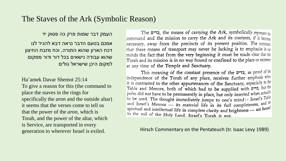# The Staves of the Ark (Symbolic Reason)

העמק דבר שמות פרק כה פסוק יד אמנם בטעם הדבר נראה דבא להגיד לנו דכח הארון שהוא התורה, וכח מזבח החיצון שהוא עבודה נישאים בכל דור ודור ממקום למקום היכן שישראל גולים

Ha'amek Davar Shemot 25:14 To give a reason for this (the command to place the staves in the rings for specifically the *aron* and the outside altar) it seems that the verses come to tell us that the power of the *aron*, which is Torah, and the power of the altar, which is Service, are transported in every generation to wherever Israel is exiled.

The בדים, the means of carrying the Ark, symbolically represent the command and the mission to carry the Ark and its contents, if it become necessary, away from the precincts of its present position. The command that these means of transport may never be lacking is to emphasise in our minds the fact that from the very beginning it must be made clear that this Torah and its mission is in no way bound or confined to the place or existence at any time of the Temple and Sanctuary.

This meaning of the constant presence of the בדים, as proof of the independence of the Torah of any place, receives further emphasis when it is contrasted to the other appurtenances of the Sanctuary, especially to the Table and Menora, both of which had to be supplied with priz, but the poles did not have to be permanently in place, but only inserted when actually to be used. The thought immediately jumps to one's mind: - Israel's Table and Israel's Menora — its material life in its full completeness, and its spiritual and intellectual life in complete clarity and brightness — are bound to the soil of the Holy Land. Israel's Torah is not.

Hirsch Commentary on the Pentateuch (tr. Isaac Levy 1989)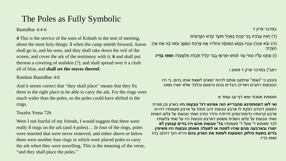# The Poles as Fully Symbolic

Bamidbar 4:4-6

**4** This is the service of the sons of Kohath in the tent of meeting, about the most holy things: **5** when the camp setteth forward, Aaron shall go in, and his sons, and they shall take down the veil of the screen, and cover the ark of the testimony with it; **6** and shall put thereon a covering of sealskin (?), and shall spread over it a cloth all of blue, and **shall set the staves thereof**.

### Ramban Bamidbar 4:6

And it seems correct that "they shall place" means that they fix them in the right place to be able to carry the ark. For the rings were much wider than the poles, so the poles could have shifted in the rings.

#### Tosafot Yoma 72b

Were I not fearful of my friends, I would suggest that there were really 8 rings on the ark (and 4 poles)… In four of the rings, poles were inserted that were never removed, and either above or below them were another four rings in which were placed poles to carry the ark when they were travelling. This is the meaning of the verse, "and they shall place the poles."

במדבר פרק ד

ֿד) זֶאת עֲבֹדֵת בְּנֵי־קְהֶת בָּאָהֶל מוֹעֵד קֹדֱשׁ הַקֱדָשִׁים).

َ וּבָ֫א אַהֲלָן וּבָנָיוֹ בִּנְסִֹעַ הָמַּחֲנֶה וְהוֹרְדוּ אֶת פָּרָׂכֶת הַמָּסֶךְ וְכִ֫סּוּ־בָ֫הּ אֶת אֲלִן ( ֿהַעֲדֵת:

)ו( וְנ תְ נֹ֣ ּו ע ל ּ֗ יו כְסּויֵ֙ עֹ֣ ֹור תַּ֔ חַ ש ּופ רְ שָ֧ ּו בֶֹֽ גֶד־כְלִֶׁ֛ יל תְ כ ַ֖לֶ ת מִ לְ מ ֵ֑ עְ ל ה **וְּשָ מַ֖ ּו בַ דָָּֽ יו:**

רמב"ן במדבר פרק ד פסוק ו

והנכון כי "ושמו" שיתקנו אותם להיות יוצאים לשאת אותו בהם, כי היו הטבעות רחבים ויאריכו הבדים בהם כרצונם ובלבד שלא יסורו ממנו:

תוספות מסכת יומא דף עב עמוד א

**ואי לאו דמסתפינא מחברייא הוה אמינא דח' טבעות היו** בארון וכן מוכיח הפסוק דכתיב ויצקת לו ארבע טבעות זהב ונתת על ארבע פעמותיו דהיינו ארבע קרנותיו כדמתרגמינן זוייתיה והדר כתיב ושתי טבעות על צלעו האחת ושתי טבעות על צלעו השנית משמע דארבע טבעות היו על שתי צלעותיו לבד מאותם ד' שעל ד' פעמותיו **בד' טבעות מהם היו בדים קבועין לא יסורו ובארבעה מהם שהיו למטה או למעלה מאותן טבעות היו משימין בדים בשעת סילוק המסעות לשאת את הארון בהם** והיינו הנך דכתב בהו ושמו בדיו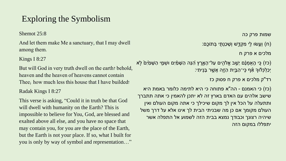# Exploring the Symbolism

Shemot 25:8

And let them make Me a sanctuary, that I may dwell among them.

### Kings I 8:27

But will God in very truth dwell on the earth? behold, heaven and the heaven of heavens cannot contain Thee; how much less this house that I have builded!

### Radak Kings I 8:27

This verse is asking, "Could it in truth be that God will dwell with humanity on the Earth? This is impossible to believe for You, God, are blessed and exalted above all else, and you have no space that may contain you, for you are the place of the Earth, but the Earth is not your place. If so, what I built for you is only by way of symbol and representation…" שמות פרק כה

(ח) וְעֵשׂוּ לִי מִקְדֵּשׁ וְשָׁכַנְתִּי בְּתוֹכֵם:

מלכים א פרק ח

ֹכִּז) כֶּי הַאֻּמְנָם יֵשֵׁב אֱלֹהָים עַל־הָאָרֶץ הָנֵּה הַשָּׁמַיִם וּשְׁמֵי הַשָּׁמַׂיִם לְא יְכַלְ כְלּ֔ ּוָך אִַ֕ ף כִֹֽ י־הַ בַַּ֥יִת הַ זֶַ֖ה אֲשֶַּ֥ ר ב נִֹֽ יתִ י:

רד"ק מלכים א פרק ח פסוק כז

)כז( כי האמנם - הה"א פתוחה כי היא לתימה כלומר באמת היא שישב אלהים עם האדם בארץ זה לא יתכן להאמין כי אתה תתברך ותתעלה על הכל אין לך מקום שיכילך כי אתה מקום העולם ואין העולם מקומך אם כן מה שבניתי הבית לך אינו אלא על דרך משל שיהיה רצונך וכבודך נמצא בבית הזה לשמוע אל התפלה אשר יתפללו במקום הזה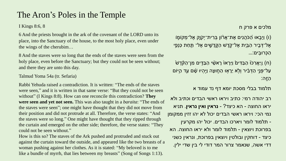# The Aron's Poles in the Temple

I Kings 8:6, 8

6 And the priests brought in the ark of the covenant of the LORD unto its place, into the Sanctuary of the house, to the most holy place, even under the wings of the cherubim…

8 And the staves were so long that the ends of the staves were seen from the holy place, even before the Sanctuary; but they could not be seen without; and there they are unto this day.

Talmud Yoma 54a (tr. Sefaria)

Rabbi Yehuda raised a contradiction. It is written: "The ends of the staves were seen," and it is written in that same verse: "But they could not be seen without" (I Kings 8:8). How can one reconcile this contradiction? **They were seen and yet not seen.** This was also taught in a *baraita*: "The ends of the staves were seen"; one might have thought that they did not move from their position and did not protrude at all. Therefore, the verse states: "And the staves were so long." One might have thought that they ripped through the curtain and emerged on the other side; therefore, the verse states: "They could not be seen without."

How is this so? The staves of the Ark pushed and protruded and stuck out against the curtain toward the outside, and appeared like the two breasts of a woman pushing against her clothes. As it is stated: "My beloved is to me like a bundle of myrrh, that lies between my breasts" (Song of Songs 1:13).

מלכים א פרק ח

)ו( וַי בִֹ֣ אּו הִַ֠ כֹהֲ נִים אֶ ת־אֲרֵּ֨ ֹון בְ רִ ית־יְקֹו ָ֧ק אֶ ל־מְ קֹומֶׁ֛ ֹו אֶל־דְּבִיר הַבַּיִת אֶל־קֹדֶשׁ הַקֱדָשֶׁים אֶל־ תַּחַת כַּנְפֵי ּהַכְּרוּבֵים:...

์ח) וַיַּאֲרִכוּ הַבַּדִּים וַיֵּרְאוּ רָאשֵׁי הַבַּדֶּים מִן־הַקְּדֶשׁ (ח עַל־פָּנֵי הַדְּבִׂיר וִלְא יֵרָאָוּ הַחֶוּצָה וַיִּהִיוּ שָׁם עַד הַיּוֹם הַ זֶֹֽ ה:

תלמוד בבלי מסכת יומא דף נד עמוד א

רב יהודה רמי: כתיב ויראו ראשי הבדים וכתיב ולא יראו החוצה - הא כיצד? - **נראין ואין נראין**. תניא נמי הכי: ויראו ראשי הבדים יכול לא יהו זזין ממקומן - תלמוד לומר ויארכו הבדים. יכול יהו מקרעין בפרוכת ויוצאין - תלמוד לומר ולא יראו החוצה. הא כיצד - דוחקין ובולטין ויוצאין בפרוכת, ונראין כשני דדי אשה, שנאמר צרור המר דודי לי בין שדי ילין.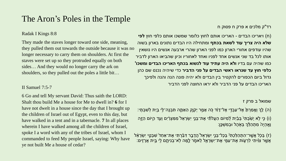# The Aron's Poles in the Temple

רד"ק מלכים א פרק ח פסוק ח

#### Radak I Kings 8:8

They made the staves longer toward one side, meaning, they pulled them out towards the outside because it was no longer necessary to carry them on shoulders. At first the staves were set up so they protruded equally on both sides… And they would no longer carry the ark on shoulders, so they pulled out the poles a little bit…

#### II Samuel 7:5-7

6 Go and tell My servant David: Thus saith the LORD: Shalt thou build Me a house for Me to dwell in? **6** for I have not dwelt in a house since the day that I brought up the children of Israel out of Egypt, even to this day, but have walked in a tent and in a tabernacle. **7** In all places wherein I have walked among all the children of Israel, spoke I a word with any of the tribes of Israel, whom I commanded to feed My people Israel, saying: Why have ye not built Me a house of cedar?

)ח( ויאריכו הבדים - האריכו אותם לחוץ כלומר שמשכו אותם כלפי חוץ **לפי שלא היה צריך עוד לשאת בכתף** ומתחילה היו הבדים נתונים בארון בשוה שהיו עודפים אחורי הארון כמו לפני הארון שהרי ארבעה אנשים היו נושאין אותו לכל בד שני אנשים אחד לפניו ואחד לאחוריו וכיון שהביאו הארון לדביר כמו שהיה עם בדיו **ולא היה עתיד עוד לנשוא בכתף האריכו הבדים ומשכו' כלפי חוץ עד שנראו ראשי הבדים על פני הדביר** כדי שיהיה נכנס שם כהן גדול ביום הכפורים להקטיר בין הבדים ולא יהיה פונה הנה והנה ולפיכך האריכו הבדים על פני הדביר ולא יראו החוצה לפני הדביר

#### שמואל ב פרק ז

ה) לֵךְ וְאֶמַרְתָּ אֶל־עַבְדֵי אֶל־דָּוֹד כָּה אָמַר יְקָׂוֶק הַאַתֶּה תִּבְנֶה־לֵּי בַיִת לְשִׁבְתִּי: ( (ו) כֵּי לָ**ֹא יָשַׁבְתִּי** בְּבַׂיִת *לְ*ֹמִיּוֹם הַעֲלתָّי אֶת־בְּנֵי יִשְׂרָאֵל<sup>י</sup>מִמִּצְרַׂיִם וְעֻד הַיּוֹם הַזֶּה וַאֱהָיֶה מִתְהַלֶּךְ בַּאָהֶל וּבְמִשְׁכֵּן:

(ז) בְּכָ**ֹ**ל אֲשֶׁר־הִתְהַלַּכְתִּי בְּכָל־בְּנֵי יִשְׂרָאֵל הֲדָבֶר דִּבַּ֫רְתִּי אֶת־אַחַד<sup>ִ</sup> שִׁבְטֵי יִשְׂרָאֵל ֿאֲשֶׁר צִוּׁיתִי לִרְעָוֹת אֶת־עַמֶּי אֶת־יִשְׂרָאֵל לֵאמֶר לֶמָּה לְא־בְנִיתֶם לֵי בֵּיִת אֲרָזִים: